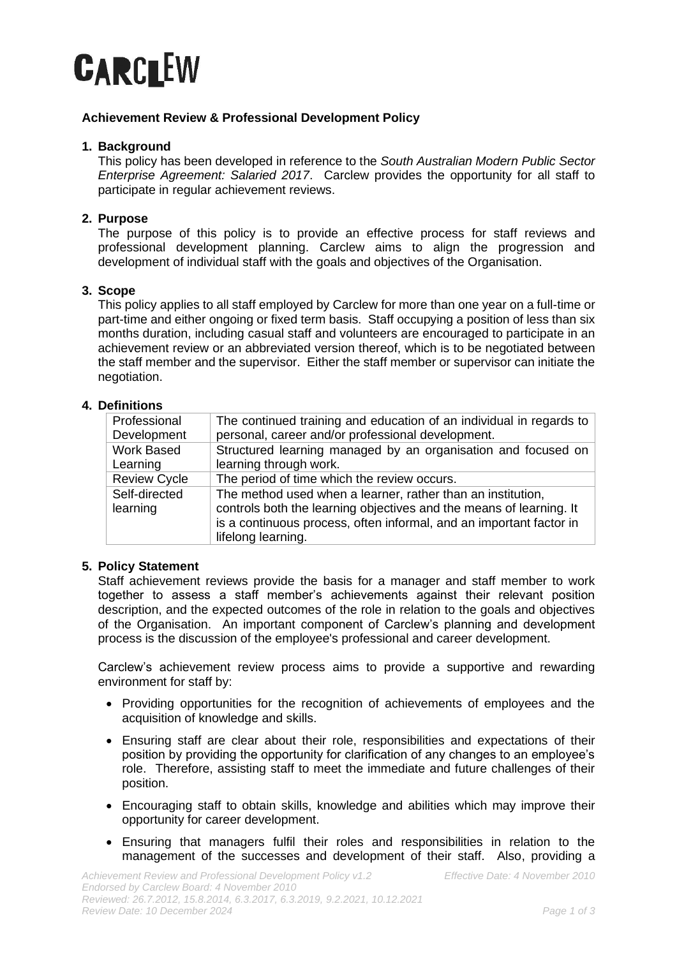

## **Achievement Review & Professional Development Policy**

## **1. Background**

This policy has been developed in reference to the *South Australian Modern Public Sector Enterprise Agreement: Salaried 2017*. Carclew provides the opportunity for all staff to participate in regular achievement reviews.

# **2. Purpose**

The purpose of this policy is to provide an effective process for staff reviews and professional development planning. Carclew aims to align the progression and development of individual staff with the goals and objectives of the Organisation.

### **3. Scope**

This policy applies to all staff employed by Carclew for more than one year on a full-time or part-time and either ongoing or fixed term basis. Staff occupying a position of less than six months duration, including casual staff and volunteers are encouraged to participate in an achievement review or an abbreviated version thereof, which is to be negotiated between the staff member and the supervisor. Either the staff member or supervisor can initiate the negotiation.

## **4. Definitions**

| Professional<br>Development | The continued training and education of an individual in regards to<br>personal, career and/or professional development.                                                                                                        |
|-----------------------------|---------------------------------------------------------------------------------------------------------------------------------------------------------------------------------------------------------------------------------|
| Work Based<br>Learning      | Structured learning managed by an organisation and focused on<br>learning through work.                                                                                                                                         |
|                             |                                                                                                                                                                                                                                 |
| <b>Review Cycle</b>         | The period of time which the review occurs.                                                                                                                                                                                     |
| Self-directed<br>learning   | The method used when a learner, rather than an institution,<br>controls both the learning objectives and the means of learning. It<br>is a continuous process, often informal, and an important factor in<br>lifelong learning. |

#### **5. Policy Statement**

Staff achievement reviews provide the basis for a manager and staff member to work together to assess a staff member's achievements against their relevant position description, and the expected outcomes of the role in relation to the goals and objectives of the Organisation. An important component of Carclew's planning and development process is the discussion of the employee's professional and career development.

Carclew's achievement review process aims to provide a supportive and rewarding environment for staff by:

- Providing opportunities for the recognition of achievements of employees and the acquisition of knowledge and skills.
- Ensuring staff are clear about their role, responsibilities and expectations of their position by providing the opportunity for clarification of any changes to an employee's role. Therefore, assisting staff to meet the immediate and future challenges of their position.
- Encouraging staff to obtain skills, knowledge and abilities which may improve their opportunity for career development.
- Ensuring that managers fulfil their roles and responsibilities in relation to the management of the successes and development of their staff. Also, providing a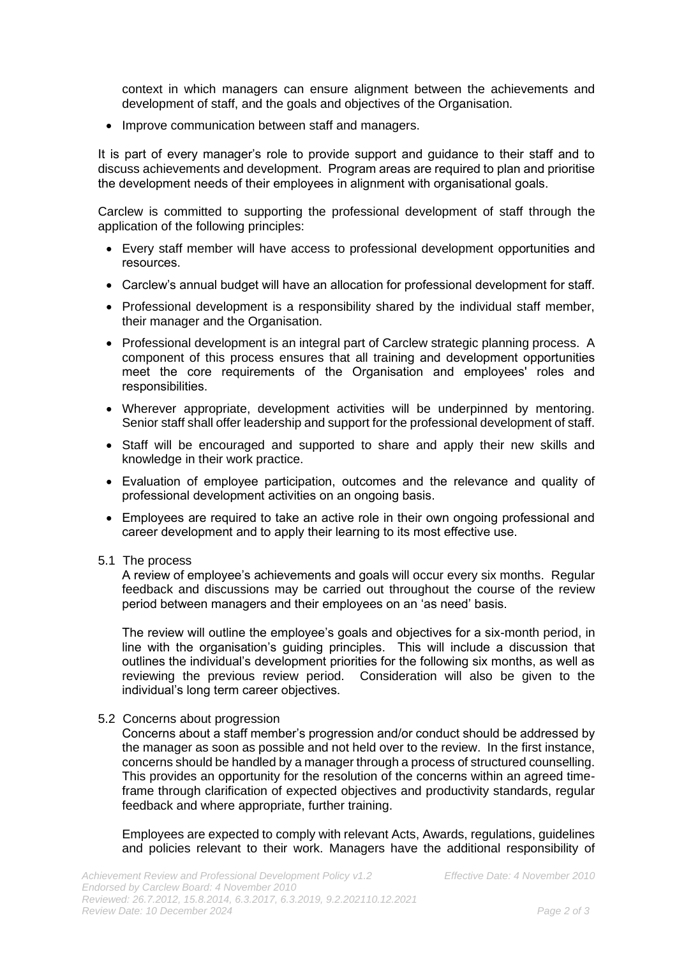context in which managers can ensure alignment between the achievements and development of staff, and the goals and objectives of the Organisation.

• Improve communication between staff and managers.

It is part of every manager's role to provide support and guidance to their staff and to discuss achievements and development. Program areas are required to plan and prioritise the development needs of their employees in alignment with organisational goals.

Carclew is committed to supporting the professional development of staff through the application of the following principles:

- Every staff member will have access to professional development opportunities and resources.
- Carclew's annual budget will have an allocation for professional development for staff.
- Professional development is a responsibility shared by the individual staff member, their manager and the Organisation.
- Professional development is an integral part of Carclew strategic planning process. A component of this process ensures that all training and development opportunities meet the core requirements of the Organisation and employees' roles and responsibilities.
- Wherever appropriate, development activities will be underpinned by mentoring. Senior staff shall offer leadership and support for the professional development of staff.
- Staff will be encouraged and supported to share and apply their new skills and knowledge in their work practice.
- Evaluation of employee participation, outcomes and the relevance and quality of professional development activities on an ongoing basis.
- Employees are required to take an active role in their own ongoing professional and career development and to apply their learning to its most effective use.
- 5.1 The process

A review of employee's achievements and goals will occur every six months. Regular feedback and discussions may be carried out throughout the course of the review period between managers and their employees on an 'as need' basis.

The review will outline the employee's goals and objectives for a six-month period, in line with the organisation's guiding principles. This will include a discussion that outlines the individual's development priorities for the following six months, as well as reviewing the previous review period. Consideration will also be given to the individual's long term career objectives.

5.2 Concerns about progression

Concerns about a staff member's progression and/or conduct should be addressed by the manager as soon as possible and not held over to the review. In the first instance, concerns should be handled by a manager through a process of structured counselling. This provides an opportunity for the resolution of the concerns within an agreed timeframe through clarification of expected objectives and productivity standards, regular feedback and where appropriate, further training.

Employees are expected to comply with relevant Acts, Awards, regulations, guidelines and policies relevant to their work. Managers have the additional responsibility of